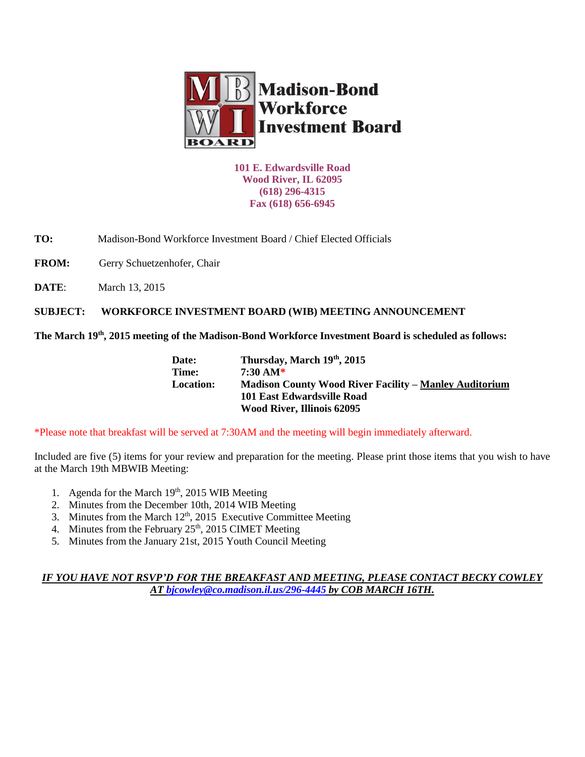

**101 E. Edwardsville Road Wood River, IL 62095 (618) 296-4315 Fax (618) 656-6945**

**TO:** Madison-Bond Workforce Investment Board / Chief Elected Officials

FROM: Gerry Schuetzenhofer, Chair

**DATE:** March 13, 2015

**SUBJECT: WORKFORCE INVESTMENT BOARD (WIB) MEETING ANNOUNCEMENT** 

**The March 19th, 2015 meeting of the Madison-Bond Workforce Investment Board is scheduled as follows:**

| Date:            | Thursday, March 19th, 2015                                    |
|------------------|---------------------------------------------------------------|
| Time:            | 7:30 AM*                                                      |
| <b>Location:</b> | <b>Madison County Wood River Facility – Manley Auditorium</b> |
|                  | 101 East Edwardsville Road                                    |
|                  | <b>Wood River, Illinois 62095</b>                             |

\*Please note that breakfast will be served at 7:30AM and the meeting will begin immediately afterward.

Included are five (5) items for your review and preparation for the meeting. Please print those items that you wish to have at the March 19th MBWIB Meeting:

- 1. Agenda for the March  $19<sup>th</sup>$ , 2015 WIB Meeting
- 2. Minutes from the December 10th, 2014 WIB Meeting
- 3. Minutes from the March  $12<sup>th</sup>$ , 2015 Executive Committee Meeting
- 4. Minutes from the February  $25<sup>th</sup>$ ,  $2015$  CIMET Meeting
- 5. Minutes from the January 21st, 2015 Youth Council Meeting

## *IF YOU HAVE NOT RSVP'D FOR THE BREAKFAST AND MEETING, PLEASE CONTACT BECKY COWLEY AT [bjcowley@co.madison.il.us/](mailto:bjcowley@co.madison.il.us)296-4445 by COB MARCH 16TH.*